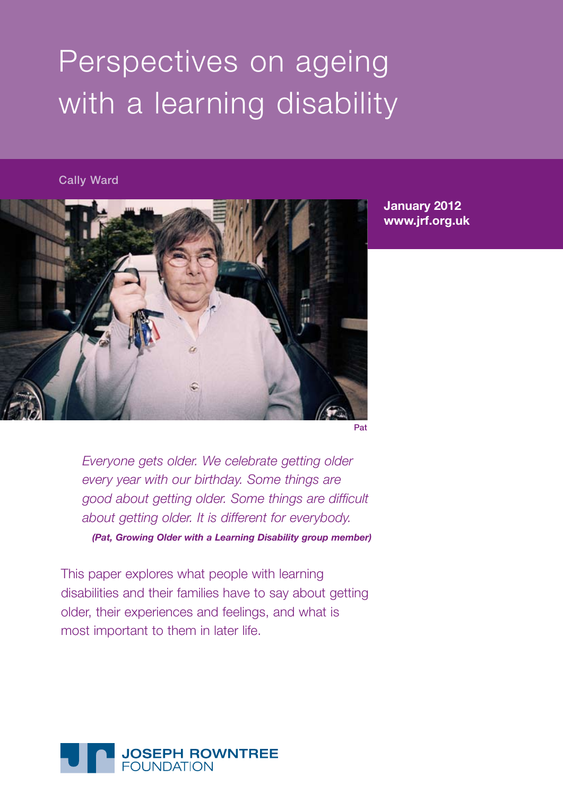# Perspectives on ageing with a learning disability

## Cally Ward



**January 2012 www.jrf.org.uk**

Pat

*Everyone gets older. We celebrate getting older every year with our birthday. Some things are good about getting older. Some things are difficult about getting older. It is different for everybody. (Pat, Growing Older with a Learning Disability group member)*

This paper explores what people with learning disabilities and their families have to say about getting older, their experiences and feelings, and what is most important to them in later life.

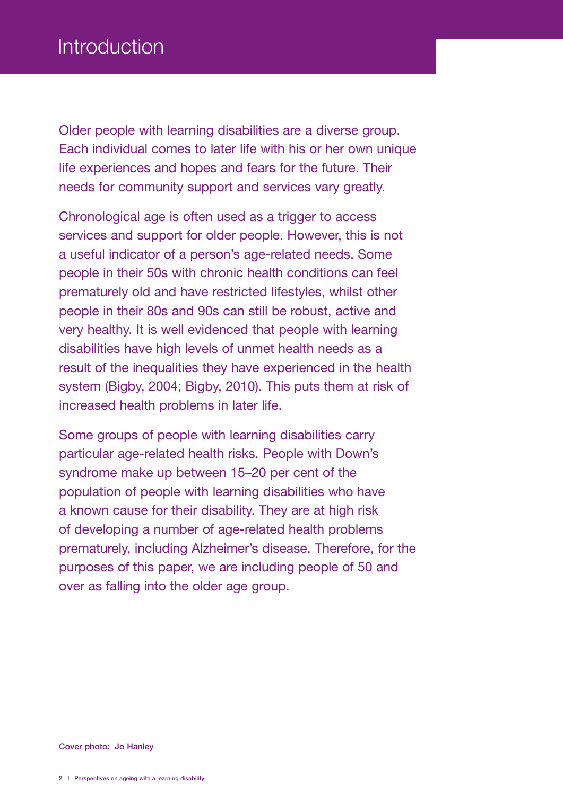Older people with learning disabilities are a diverse group. Each individual comes to later life with his or her own unique life experiences and hopes and fears for the future. Their needs for community support and services vary greatly.

Chronological age is often used as a trigger to access services and support for older people. However, this is not a useful indicator of a person's age-related needs. Some people in their 50s with chronic health conditions can feel prematurely old and have restricted lifestyles, whilst other people in their 80s and 90s can still be robust, active and very healthy. It is well evidenced that people with learning disabilities have high levels of unmet health needs as a result of the inequalities they have experienced in the health system (Bigby, 2004; Bigby, 2010). This puts them at risk of increased health problems in later life.

Some groups of people with learning disabilities carry particular age-related health risks. People with Down's syndrome make up between 15–20 per cent of the population of people with learning disabilities who have a known cause for their disability. They are at high risk of developing a number of age-related health problems prematurely, including Alzheimer's disease. Therefore, for the purposes of this paper, we are including people of 50 and over as falling into the older age group.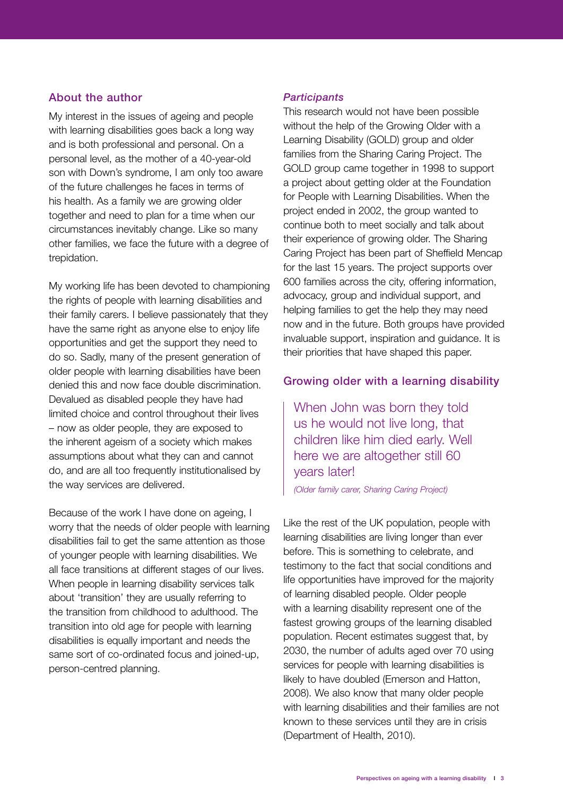#### About the author

My interest in the issues of ageing and people with learning disabilities goes back a long way and is both professional and personal. On a personal level, as the mother of a 40-year-old son with Down's syndrome, I am only too aware of the future challenges he faces in terms of his health. As a family we are growing older together and need to plan for a time when our circumstances inevitably change. Like so many other families, we face the future with a degree of trepidation.

My working life has been devoted to championing the rights of people with learning disabilities and their family carers. I believe passionately that they have the same right as anyone else to enjoy life opportunities and get the support they need to do so. Sadly, many of the present generation of older people with learning disabilities have been denied this and now face double discrimination. Devalued as disabled people they have had limited choice and control throughout their lives – now as older people, they are exposed to the inherent ageism of a society which makes assumptions about what they can and cannot do, and are all too frequently institutionalised by the way services are delivered.

Because of the work I have done on ageing, I worry that the needs of older people with learning disabilities fail to get the same attention as those of younger people with learning disabilities. We all face transitions at different stages of our lives. When people in learning disability services talk about 'transition' they are usually referring to the transition from childhood to adulthood. The transition into old age for people with learning disabilities is equally important and needs the same sort of co-ordinated focus and joined-up, person-centred planning.

#### *Participants*

This research would not have been possible without the help of the Growing Older with a Learning Disability (GOLD) group and older families from the Sharing Caring Project. The GOLD group came together in 1998 to support a project about getting older at the Foundation for People with Learning Disabilities. When the project ended in 2002, the group wanted to continue both to meet socially and talk about their experience of growing older. The Sharing Caring Project has been part of Sheffield Mencap for the last 15 years. The project supports over 600 families across the city, offering information, advocacy, group and individual support, and helping families to get the help they may need now and in the future. Both groups have provided invaluable support, inspiration and guidance. It is their priorities that have shaped this paper.

#### Growing older with a learning disability

When John was born they told us he would not live long, that children like him died early. Well here we are altogether still 60 years later!

*(Older family carer, Sharing Caring Project)*

Like the rest of the UK population, people with learning disabilities are living longer than ever before. This is something to celebrate, and testimony to the fact that social conditions and life opportunities have improved for the majority of learning disabled people. Older people with a learning disability represent one of the fastest growing groups of the learning disabled population. Recent estimates suggest that, by 2030, the number of adults aged over 70 using services for people with learning disabilities is likely to have doubled (Emerson and Hatton, 2008). We also know that many older people with learning disabilities and their families are not known to these services until they are in crisis (Department of Health, 2010).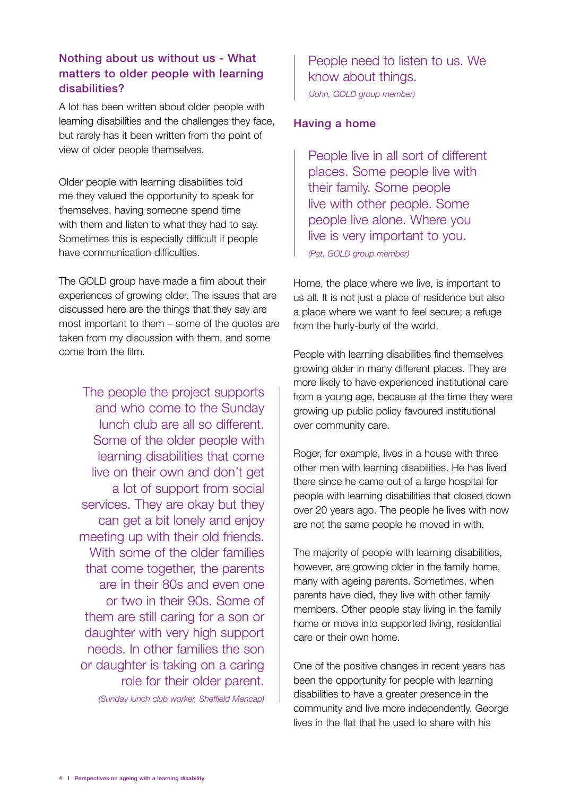# Nothing about us without us - What matters to older people with learning disabilities?

A lot has been written about older people with learning disabilities and the challenges they face, but rarely has it been written from the point of view of older people themselves.

Older people with learning disabilities told me they valued the opportunity to speak for themselves, having someone spend time with them and listen to what they had to say. Sometimes this is especially difficult if people have communication difficulties.

The GOLD group have made a film about their experiences of growing older. The issues that are discussed here are the things that they say are most important to them – some of the quotes are taken from my discussion with them, and some come from the film.

The people the project supports and who come to the Sunday lunch club are all so different. Some of the older people with learning disabilities that come live on their own and don't get a lot of support from social services. They are okay but they can get a bit lonely and enjoy meeting up with their old friends. With some of the older families that come together, the parents are in their 80s and even one or two in their 90s. Some of them are still caring for a son or daughter with very high support needs. In other families the son or daughter is taking on a caring role for their older parent. *(Sunday lunch club worker, Sheffield Mencap)*

People need to listen to us. We know about things. *(John, GOLD group member)*

## Having a home

People live in all sort of different places. Some people live with their family. Some people live with other people. Some people live alone. Where you live is very important to you. *(Pat, GOLD group member)*

Home, the place where we live, is important to us all. It is not just a place of residence but also a place where we want to feel secure; a refuge from the hurly-burly of the world.

People with learning disabilities find themselves growing older in many different places. They are more likely to have experienced institutional care from a young age, because at the time they were growing up public policy favoured institutional over community care.

Roger, for example, lives in a house with three other men with learning disabilities. He has lived there since he came out of a large hospital for people with learning disabilities that closed down over 20 years ago. The people he lives with now are not the same people he moved in with.

The majority of people with learning disabilities, however, are growing older in the family home, many with ageing parents. Sometimes, when parents have died, they live with other family members. Other people stay living in the family home or move into supported living, residential care or their own home.

One of the positive changes in recent years has been the opportunity for people with learning disabilities to have a greater presence in the community and live more independently. George lives in the flat that he used to share with his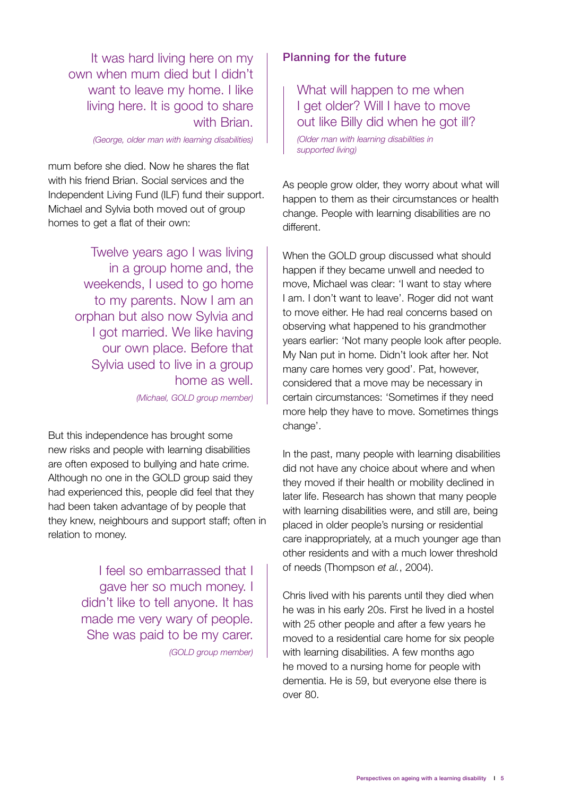It was hard living here on my own when mum died but I didn't want to leave my home. I like living here. It is good to share with Brian.

*(George, older man with learning disabilities)*

mum before she died. Now he shares the flat with his friend Brian. Social services and the Independent Living Fund (ILF) fund their support. Michael and Sylvia both moved out of group homes to get a flat of their own:

> Twelve years ago I was living in a group home and, the weekends, I used to go home to my parents. Now I am an orphan but also now Sylvia and I got married. We like having our own place. Before that Sylvia used to live in a group home as well.

*(Michael, GOLD group member)*

But this independence has brought some new risks and people with learning disabilities are often exposed to bullying and hate crime. Although no one in the GOLD group said they had experienced this, people did feel that they had been taken advantage of by people that they knew, neighbours and support staff; often in relation to money.

> I feel so embarrassed that I gave her so much money. I didn't like to tell anyone. It has made me very wary of people. She was paid to be my carer. *(GOLD group member)*

# Planning for the future

What will happen to me when I get older? Will I have to move out like Billy did when he got ill?

*(Older man with learning disabilities in supported living)*

As people grow older, they worry about what will happen to them as their circumstances or health change. People with learning disabilities are no different.

When the GOLD group discussed what should happen if they became unwell and needed to move, Michael was clear: 'I want to stay where I am. I don't want to leave'. Roger did not want to move either. He had real concerns based on observing what happened to his grandmother years earlier: 'Not many people look after people. My Nan put in home. Didn't look after her. Not many care homes very good'. Pat, however, considered that a move may be necessary in certain circumstances: 'Sometimes if they need more help they have to move. Sometimes things change'.

In the past, many people with learning disabilities did not have any choice about where and when they moved if their health or mobility declined in later life. Research has shown that many people with learning disabilities were, and still are, being placed in older people's nursing or residential care inappropriately, at a much younger age than other residents and with a much lower threshold of needs (Thompson *et al.*, 2004).

Chris lived with his parents until they died when he was in his early 20s. First he lived in a hostel with 25 other people and after a few years he moved to a residential care home for six people with learning disabilities. A few months ago he moved to a nursing home for people with dementia. He is 59, but everyone else there is over 80.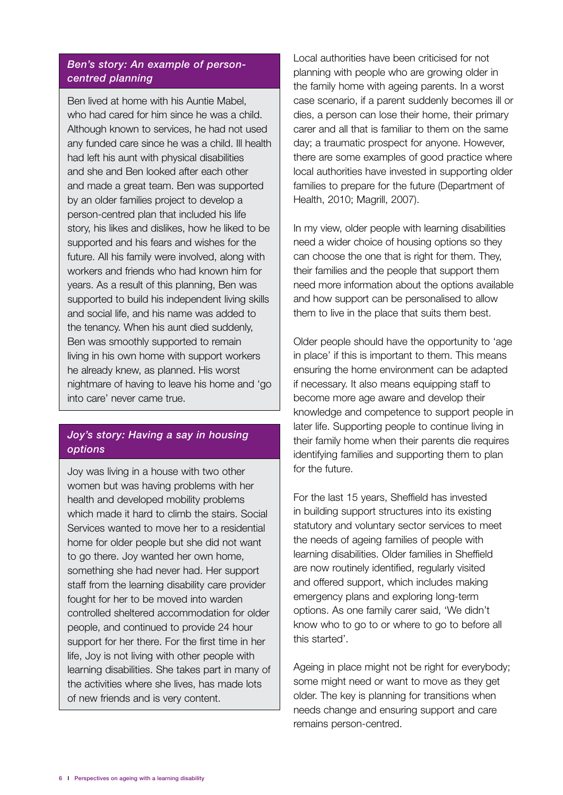## *Ben's story: An example of personcentred planning*

Ben lived at home with his Auntie Mabel, who had cared for him since he was a child. Although known to services, he had not used any funded care since he was a child. Ill health had left his aunt with physical disabilities and she and Ben looked after each other and made a great team. Ben was supported by an older families project to develop a person-centred plan that included his life story, his likes and dislikes, how he liked to be supported and his fears and wishes for the future. All his family were involved, along with workers and friends who had known him for years. As a result of this planning, Ben was supported to build his independent living skills and social life, and his name was added to the tenancy. When his aunt died suddenly, Ben was smoothly supported to remain living in his own home with support workers he already knew, as planned. His worst nightmare of having to leave his home and 'go into care' never came true.

# *Joy's story: Having a say in housing options*

Joy was living in a house with two other women but was having problems with her health and developed mobility problems which made it hard to climb the stairs. Social Services wanted to move her to a residential home for older people but she did not want to go there. Joy wanted her own home, something she had never had. Her support staff from the learning disability care provider fought for her to be moved into warden controlled sheltered accommodation for older people, and continued to provide 24 hour support for her there. For the first time in her life, Joy is not living with other people with learning disabilities. She takes part in many of the activities where she lives, has made lots of new friends and is very content.

Local authorities have been criticised for not planning with people who are growing older in the family home with ageing parents. In a worst case scenario, if a parent suddenly becomes ill or dies, a person can lose their home, their primary carer and all that is familiar to them on the same day; a traumatic prospect for anyone. However, there are some examples of good practice where local authorities have invested in supporting older families to prepare for the future (Department of Health, 2010; Magrill, 2007).

In my view, older people with learning disabilities need a wider choice of housing options so they can choose the one that is right for them. They, their families and the people that support them need more information about the options available and how support can be personalised to allow them to live in the place that suits them best.

Older people should have the opportunity to 'age in place' if this is important to them. This means ensuring the home environment can be adapted if necessary. It also means equipping staff to become more age aware and develop their knowledge and competence to support people in later life. Supporting people to continue living in their family home when their parents die requires identifying families and supporting them to plan for the future.

For the last 15 years, Sheffield has invested in building support structures into its existing statutory and voluntary sector services to meet the needs of ageing families of people with learning disabilities. Older families in Sheffield are now routinely identified, regularly visited and offered support, which includes making emergency plans and exploring long-term options. As one family carer said, 'We didn't know who to go to or where to go to before all this started'.

Ageing in place might not be right for everybody; some might need or want to move as they get older. The key is planning for transitions when needs change and ensuring support and care remains person-centred.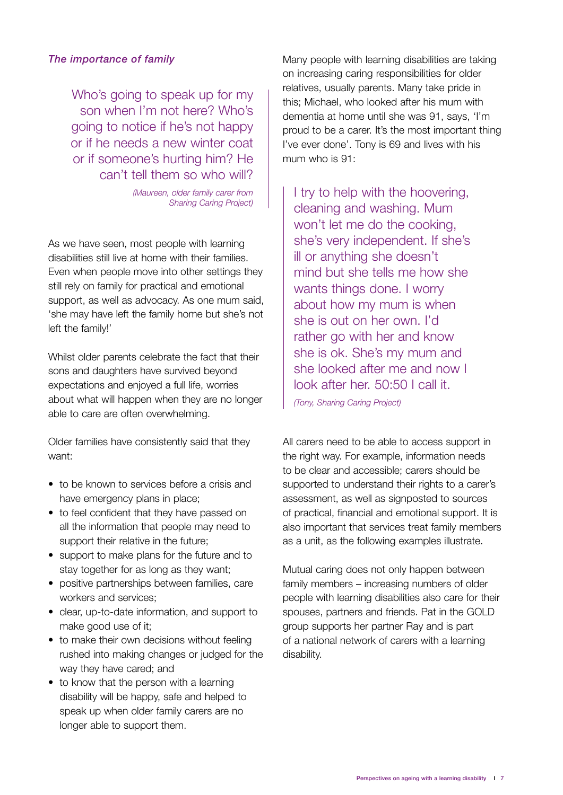## *The importance of family*

Who's going to speak up for my son when I'm not here? Who's going to notice if he's not happy or if he needs a new winter coat or if someone's hurting him? He can't tell them so who will?

> *(Maureen, older family carer from Sharing Caring Project)*

As we have seen, most people with learning disabilities still live at home with their families. Even when people move into other settings they still rely on family for practical and emotional support, as well as advocacy. As one mum said, 'she may have left the family home but she's not left the family!'

Whilst older parents celebrate the fact that their sons and daughters have survived beyond expectations and enjoyed a full life, worries about what will happen when they are no longer able to care are often overwhelming.

Older families have consistently said that they want:

- to be known to services before a crisis and have emergency plans in place;
- to feel confident that they have passed on all the information that people may need to support their relative in the future;
- support to make plans for the future and to stay together for as long as they want;
- positive partnerships between families, care workers and services;
- clear, up-to-date information, and support to make good use of it;
- to make their own decisions without feeling rushed into making changes or judged for the way they have cared; and
- to know that the person with a learning disability will be happy, safe and helped to speak up when older family carers are no longer able to support them.

Many people with learning disabilities are taking on increasing caring responsibilities for older relatives, usually parents. Many take pride in this; Michael, who looked after his mum with dementia at home until she was 91, says, 'I'm proud to be a carer. It's the most important thing I've ever done'. Tony is 69 and lives with his mum who is 91:

I try to help with the hoovering. cleaning and washing. Mum won't let me do the cooking, she's very independent. If she's ill or anything she doesn't mind but she tells me how she wants things done. I worry about how my mum is when she is out on her own. I'd rather go with her and know she is ok. She's my mum and she looked after me and now I look after her. 50:50 I call it.

*(Tony, Sharing Caring Project)*

All carers need to be able to access support in the right way. For example, information needs to be clear and accessible; carers should be supported to understand their rights to a carer's assessment, as well as signposted to sources of practical, financial and emotional support. It is also important that services treat family members as a unit, as the following examples illustrate.

Mutual caring does not only happen between family members – increasing numbers of older people with learning disabilities also care for their spouses, partners and friends. Pat in the GOLD group supports her partner Ray and is part of a national network of carers with a learning disability.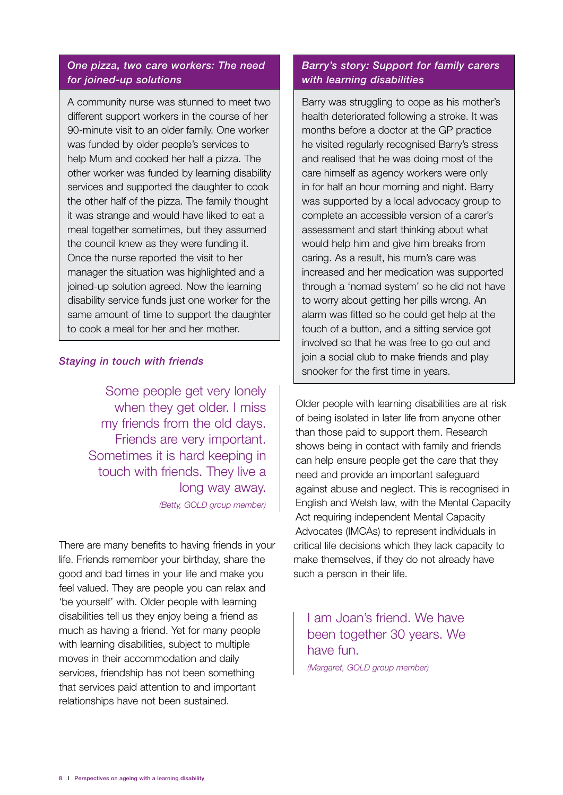#### *One pizza, two care workers: The need for joined-up solutions*

A community nurse was stunned to meet two different support workers in the course of her 90-minute visit to an older family. One worker was funded by older people's services to help Mum and cooked her half a pizza. The other worker was funded by learning disability services and supported the daughter to cook the other half of the pizza. The family thought it was strange and would have liked to eat a meal together sometimes, but they assumed the council knew as they were funding it. Once the nurse reported the visit to her manager the situation was highlighted and a joined-up solution agreed. Now the learning disability service funds just one worker for the same amount of time to support the daughter to cook a meal for her and her mother.

#### *Staying in touch with friends*

Some people get very lonely when they get older. I miss my friends from the old days. Friends are very important. Sometimes it is hard keeping in touch with friends. They live a long way away.

*(Betty, GOLD group member)*

There are many benefits to having friends in your life. Friends remember your birthday, share the good and bad times in your life and make you feel valued. They are people you can relax and 'be yourself' with. Older people with learning disabilities tell us they enjoy being a friend as much as having a friend. Yet for many people with learning disabilities, subject to multiple moves in their accommodation and daily services, friendship has not been something that services paid attention to and important relationships have not been sustained.

## *Barry's story: Support for family carers with learning disabilities*

Barry was struggling to cope as his mother's health deteriorated following a stroke. It was months before a doctor at the GP practice he visited regularly recognised Barry's stress and realised that he was doing most of the care himself as agency workers were only in for half an hour morning and night. Barry was supported by a local advocacy group to complete an accessible version of a carer's assessment and start thinking about what would help him and give him breaks from caring. As a result, his mum's care was increased and her medication was supported through a 'nomad system' so he did not have to worry about getting her pills wrong. An alarm was fitted so he could get help at the touch of a button, and a sitting service got involved so that he was free to go out and join a social club to make friends and play snooker for the first time in years.

Older people with learning disabilities are at risk of being isolated in later life from anyone other than those paid to support them. Research shows being in contact with family and friends can help ensure people get the care that they need and provide an important safeguard against abuse and neglect. This is recognised in English and Welsh law, with the Mental Capacity Act requiring independent Mental Capacity Advocates (IMCAs) to represent individuals in critical life decisions which they lack capacity to make themselves, if they do not already have such a person in their life.

I am Joan's friend. We have been together 30 years. We have fun.

*(Margaret, GOLD group member)*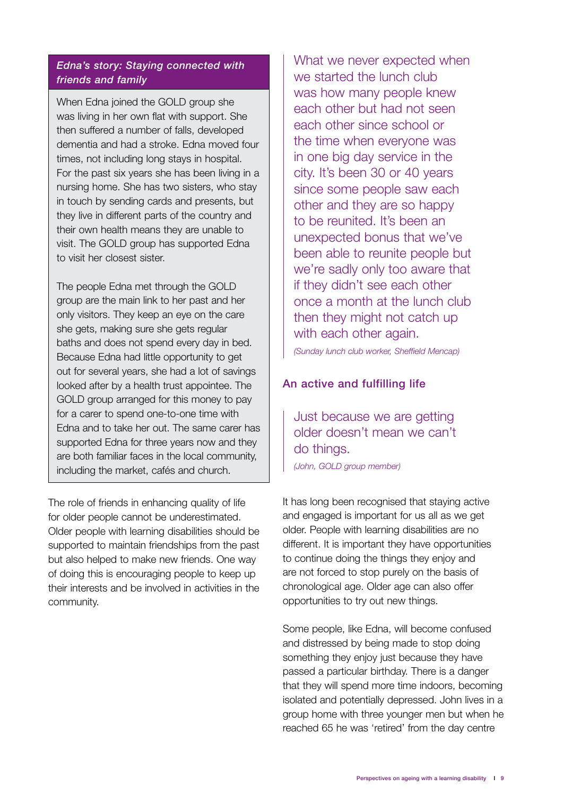## *Edna's story: Staying connected with friends and family*

When Edna joined the GOLD group she was living in her own flat with support. She then suffered a number of falls, developed dementia and had a stroke. Edna moved four times, not including long stays in hospital. For the past six years she has been living in a nursing home. She has two sisters, who stay in touch by sending cards and presents, but they live in different parts of the country and their own health means they are unable to visit. The GOLD group has supported Edna to visit her closest sister.

The people Edna met through the GOLD group are the main link to her past and her only visitors. They keep an eye on the care she gets, making sure she gets regular baths and does not spend every day in bed. Because Edna had little opportunity to get out for several years, she had a lot of savings looked after by a health trust appointee. The GOLD group arranged for this money to pay for a carer to spend one-to-one time with Edna and to take her out. The same carer has supported Edna for three years now and they are both familiar faces in the local community, including the market, cafés and church.

The role of friends in enhancing quality of life for older people cannot be underestimated. Older people with learning disabilities should be supported to maintain friendships from the past but also helped to make new friends. One way of doing this is encouraging people to keep up their interests and be involved in activities in the community.

What we never expected when we started the lunch club was how many people knew each other but had not seen each other since school or the time when everyone was in one big day service in the city. It's been 30 or 40 years since some people saw each other and they are so happy to be reunited. It's been an unexpected bonus that we've been able to reunite people but we're sadly only too aware that if they didn't see each other once a month at the lunch club then they might not catch up with each other again.

*(Sunday lunch club worker, Sheffield Mencap)*

#### An active and fulfilling life

Just because we are getting older doesn't mean we can't do things. *(John, GOLD group member)*

It has long been recognised that staying active and engaged is important for us all as we get older. People with learning disabilities are no different. It is important they have opportunities to continue doing the things they enjoy and are not forced to stop purely on the basis of chronological age. Older age can also offer opportunities to try out new things.

Some people, like Edna, will become confused and distressed by being made to stop doing something they enjoy just because they have passed a particular birthday. There is a danger that they will spend more time indoors, becoming isolated and potentially depressed. John lives in a group home with three younger men but when he reached 65 he was 'retired' from the day centre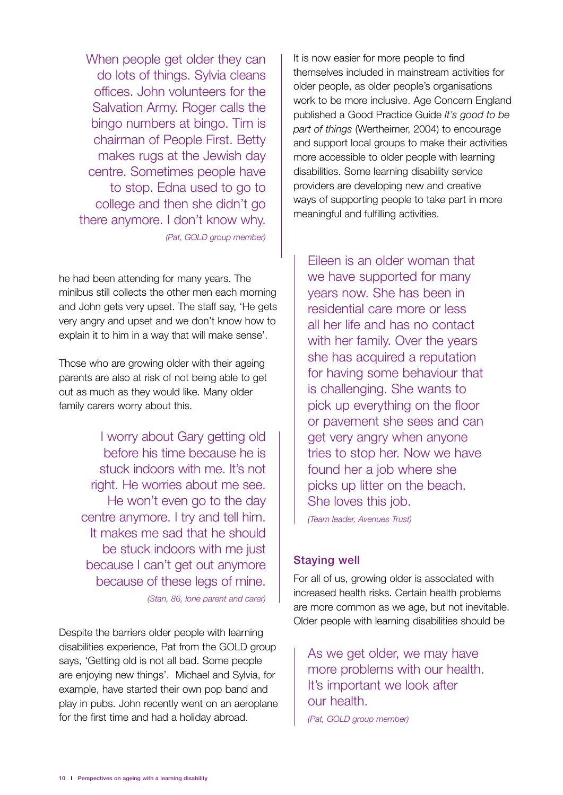When people get older they can do lots of things. Sylvia cleans offices. John volunteers for the Salvation Army. Roger calls the bingo numbers at bingo. Tim is chairman of People First. Betty makes rugs at the Jewish day centre. Sometimes people have to stop. Edna used to go to college and then she didn't go there anymore. I don't know why. *(Pat, GOLD group member)*

he had been attending for many years. The minibus still collects the other men each morning and John gets very upset. The staff say, 'He gets

very angry and upset and we don't know how to explain it to him in a way that will make sense'.

Those who are growing older with their ageing parents are also at risk of not being able to get out as much as they would like. Many older family carers worry about this.

> I worry about Gary getting old before his time because he is stuck indoors with me. It's not right. He worries about me see. He won't even go to the day centre anymore. I try and tell him. It makes me sad that he should be stuck indoors with me just because I can't get out anymore because of these legs of mine.

> > *(Stan, 86, lone parent and carer)*

Despite the barriers older people with learning disabilities experience, Pat from the GOLD group says, 'Getting old is not all bad. Some people are enjoying new things'. Michael and Sylvia, for example, have started their own pop band and play in pubs. John recently went on an aeroplane for the first time and had a holiday abroad.

It is now easier for more people to find themselves included in mainstream activities for older people, as older people's organisations work to be more inclusive. Age Concern England published a Good Practice Guide *It's good to be part of things* (Wertheimer, 2004) to encourage and support local groups to make their activities more accessible to older people with learning disabilities. Some learning disability service providers are developing new and creative ways of supporting people to take part in more meaningful and fulfilling activities.

Eileen is an older woman that we have supported for many years now. She has been in residential care more or less all her life and has no contact with her family. Over the years she has acquired a reputation for having some behaviour that is challenging. She wants to pick up everything on the floor or pavement she sees and can get very angry when anyone tries to stop her. Now we have found her a job where she picks up litter on the beach. She loves this job.

*(Team leader, Avenues Trust)*

## Staying well

For all of us, growing older is associated with increased health risks. Certain health problems are more common as we age, but not inevitable. Older people with learning disabilities should be

As we get older, we may have more problems with our health. It's important we look after our health. *(Pat, GOLD group member)*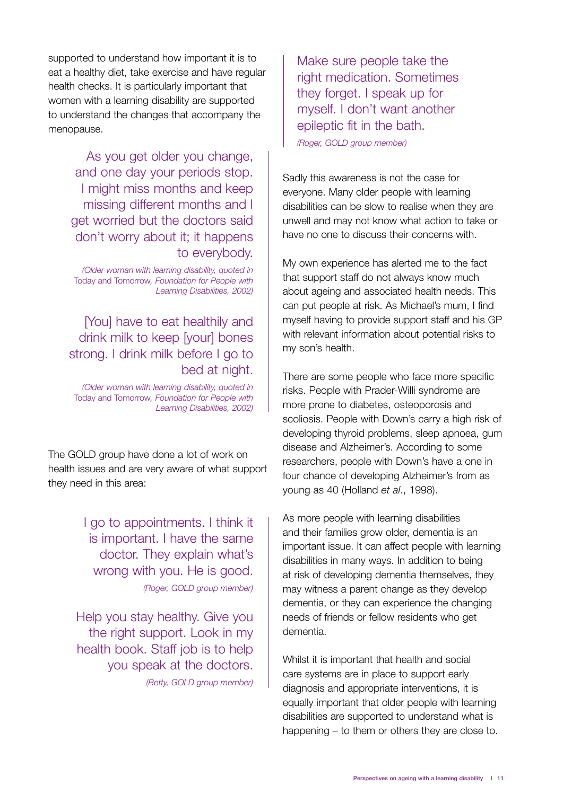supported to understand how important it is to eat a healthy diet, take exercise and have regular health checks. It is particularly important that women with a learning disability are supported to understand the changes that accompany the menopause.

> As you get older you change, and one day your periods stop. I might miss months and keep missing different months and I get worried but the doctors said don't worry about it; it happens to everybody.

*(Older woman with learning disability, quoted in*  Today and Tomorrow*, Foundation for People with Learning Disabilities, 2002)*

[You] have to eat healthily and drink milk to keep [your] bones strong. I drink milk before I go to bed at night.

*(Older woman with learning disability, quoted in*  Today and Tomorrow*, Foundation for People with Learning Disabilities, 2002)*

The GOLD group have done a lot of work on health issues and are very aware of what support they need in this area:

> I go to appointments. I think it is important. I have the same doctor. They explain what's wrong with you. He is good. *(Roger, GOLD group member)*

Help you stay healthy. Give you the right support. Look in my health book. Staff job is to help you speak at the doctors. *(Betty, GOLD group member)* Make sure people take the right medication. Sometimes they forget. I speak up for myself. I don't want another epileptic fit in the bath. *(Roger, GOLD group member)* 

Sadly this awareness is not the case for everyone. Many older people with learning disabilities can be slow to realise when they are unwell and may not know what action to take or have no one to discuss their concerns with.

My own experience has alerted me to the fact that support staff do not always know much about ageing and associated health needs. This can put people at risk. As Michael's mum, I find myself having to provide support staff and his GP with relevant information about potential risks to my son's health.

There are some people who face more specific risks. People with Prader-Willi syndrome are more prone to diabetes, osteoporosis and scoliosis. People with Down's carry a high risk of developing thyroid problems, sleep apnoea, gum disease and Alzheimer's. According to some researchers, people with Down's have a one in four chance of developing Alzheimer's from as young as 40 (Holland *et al*., 1998).

As more people with learning disabilities and their families grow older, dementia is an important issue. It can affect people with learning disabilities in many ways. In addition to being at risk of developing dementia themselves, they may witness a parent change as they develop dementia, or they can experience the changing needs of friends or fellow residents who get dementia.

Whilst it is important that health and social care systems are in place to support early diagnosis and appropriate interventions, it is equally important that older people with learning disabilities are supported to understand what is happening – to them or others they are close to.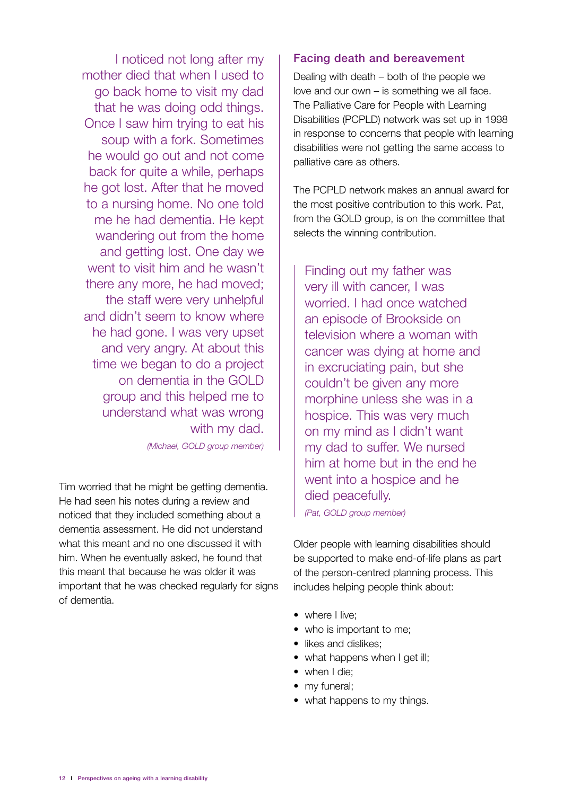I noticed not long after my mother died that when I used to go back home to visit my dad that he was doing odd things. Once I saw him trying to eat his soup with a fork. Sometimes he would go out and not come back for quite a while, perhaps he got lost. After that he moved to a nursing home. No one told me he had dementia. He kept wandering out from the home and getting lost. One day we went to visit him and he wasn't there any more, he had moved; the staff were very unhelpful and didn't seem to know where he had gone. I was very upset and very angry. At about this time we began to do a project on dementia in the GOLD group and this helped me to understand what was wrong with my dad.

*(Michael, GOLD group member)*

Tim worried that he might be getting dementia. He had seen his notes during a review and noticed that they included something about a dementia assessment. He did not understand what this meant and no one discussed it with him. When he eventually asked, he found that this meant that because he was older it was important that he was checked regularly for signs of dementia.

#### Facing death and bereavement

Dealing with death – both of the people we love and our own – is something we all face. The Palliative Care for People with Learning Disabilities (PCPLD) network was set up in 1998 in response to concerns that people with learning disabilities were not getting the same access to palliative care as others.

The PCPLD network makes an annual award for the most positive contribution to this work. Pat, from the GOLD group, is on the committee that selects the winning contribution.

Finding out my father was very ill with cancer, I was worried. I had once watched an episode of Brookside on television where a woman with cancer was dying at home and in excruciating pain, but she couldn't be given any more morphine unless she was in a hospice. This was very much on my mind as I didn't want my dad to suffer. We nursed him at home but in the end he went into a hospice and he died peacefully.

*(Pat, GOLD group member)*

Older people with learning disabilities should be supported to make end-of-life plans as part of the person-centred planning process. This includes helping people think about:

- where I live;
- who is important to me;
- likes and dislikes;
- what happens when I get ill;
- when I die;
- my funeral;
- what happens to my things.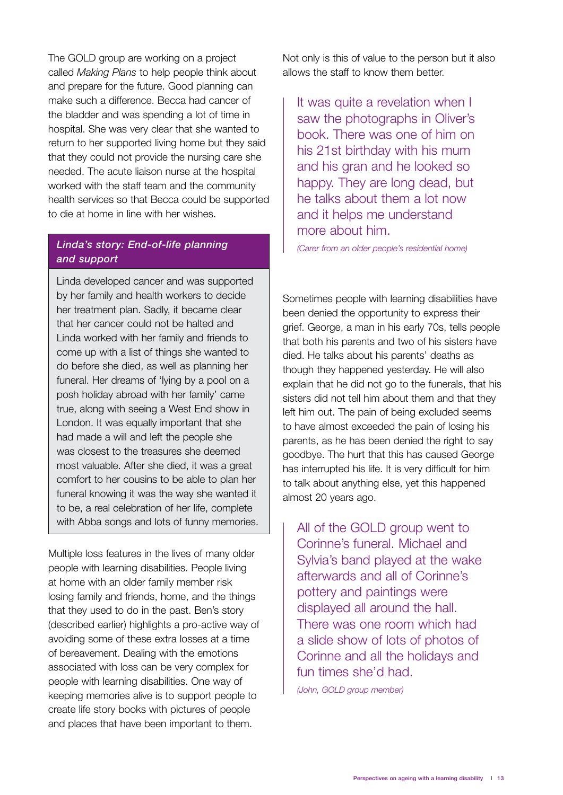The GOLD group are working on a project called *Making Plans* to help people think about and prepare for the future. Good planning can make such a difference. Becca had cancer of the bladder and was spending a lot of time in hospital. She was very clear that she wanted to return to her supported living home but they said that they could not provide the nursing care she needed. The acute liaison nurse at the hospital worked with the staff team and the community health services so that Becca could be supported to die at home in line with her wishes.

## *Linda's story: End-of-life planning and support*

Linda developed cancer and was supported by her family and health workers to decide her treatment plan. Sadly, it became clear that her cancer could not be halted and Linda worked with her family and friends to come up with a list of things she wanted to do before she died, as well as planning her funeral. Her dreams of 'lying by a pool on a posh holiday abroad with her family' came true, along with seeing a West End show in London. It was equally important that she had made a will and left the people she was closest to the treasures she deemed most valuable. After she died, it was a great comfort to her cousins to be able to plan her funeral knowing it was the way she wanted it to be, a real celebration of her life, complete with Abba songs and lots of funny memories.

Multiple loss features in the lives of many older people with learning disabilities. People living at home with an older family member risk losing family and friends, home, and the things that they used to do in the past. Ben's story (described earlier) highlights a pro-active way of avoiding some of these extra losses at a time of bereavement. Dealing with the emotions associated with loss can be very complex for people with learning disabilities. One way of keeping memories alive is to support people to create life story books with pictures of people and places that have been important to them.

Not only is this of value to the person but it also allows the staff to know them better.

It was quite a revelation when I saw the photographs in Oliver's book. There was one of him on his 21st birthday with his mum and his gran and he looked so happy. They are long dead, but he talks about them a lot now and it helps me understand more about him.

*(Carer from an older people's residential home)*

Sometimes people with learning disabilities have been denied the opportunity to express their grief. George, a man in his early 70s, tells people that both his parents and two of his sisters have died. He talks about his parents' deaths as though they happened yesterday. He will also explain that he did not go to the funerals, that his sisters did not tell him about them and that they left him out. The pain of being excluded seems to have almost exceeded the pain of losing his parents, as he has been denied the right to say goodbye. The hurt that this has caused George has interrupted his life. It is very difficult for him to talk about anything else, yet this happened almost 20 years ago.

All of the GOLD group went to Corinne's funeral. Michael and Sylvia's band played at the wake afterwards and all of Corinne's pottery and paintings were displayed all around the hall. There was one room which had a slide show of lots of photos of Corinne and all the holidays and fun times she'd had.

*(John, GOLD group member)*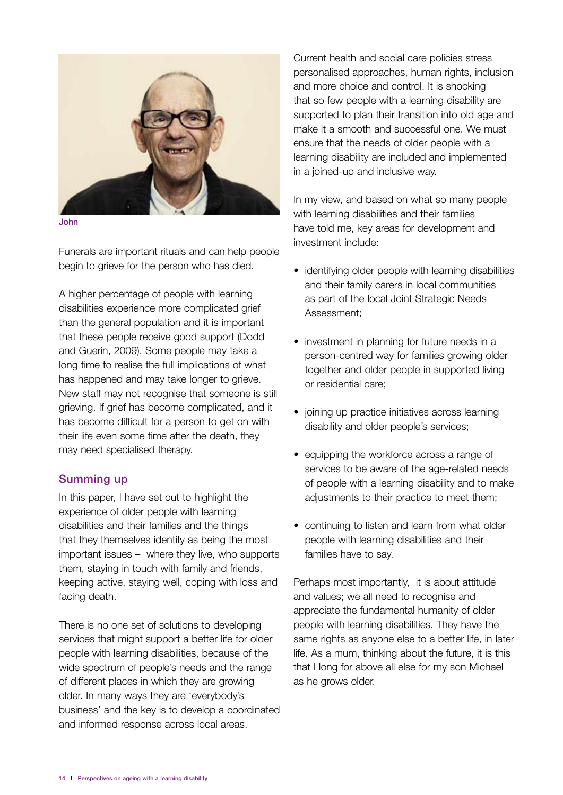

John

Funerals are important rituals and can help people begin to grieve for the person who has died.

A higher percentage of people with learning disabilities experience more complicated grief than the general population and it is important that these people receive good support (Dodd and Guerin, 2009). Some people may take a long time to realise the full implications of what has happened and may take longer to grieve. New staff may not recognise that someone is still grieving. If grief has become complicated, and it has become difficult for a person to get on with their life even some time after the death, they may need specialised therapy.

## Summing up

In this paper, I have set out to highlight the experience of older people with learning disabilities and their families and the things that they themselves identify as being the most important issues – where they live, who supports them, staying in touch with family and friends, keeping active, staying well, coping with loss and facing death.

There is no one set of solutions to developing services that might support a better life for older people with learning disabilities, because of the wide spectrum of people's needs and the range of different places in which they are growing older. In many ways they are 'everybody's business' and the key is to develop a coordinated and informed response across local areas.

Current health and social care policies stress personalised approaches, human rights, inclusion and more choice and control. It is shocking that so few people with a learning disability are supported to plan their transition into old age and make it a smooth and successful one. We must ensure that the needs of older people with a learning disability are included and implemented in a joined-up and inclusive way.

In my view, and based on what so many people with learning disabilities and their families have told me, key areas for development and investment include:

- identifying older people with learning disabilities and their family carers in local communities as part of the local Joint Strategic Needs Assessment;
- investment in planning for future needs in a person-centred way for families growing older together and older people in supported living or residential care;
- joining up practice initiatives across learning disability and older people's services;
- equipping the workforce across a range of services to be aware of the age-related needs of people with a learning disability and to make adjustments to their practice to meet them;
- continuing to listen and learn from what older people with learning disabilities and their families have to say.

Perhaps most importantly, it is about attitude and values; we all need to recognise and appreciate the fundamental humanity of older people with learning disabilities. They have the same rights as anyone else to a better life, in later life. As a mum, thinking about the future, it is this that I long for above all else for my son Michael as he grows older.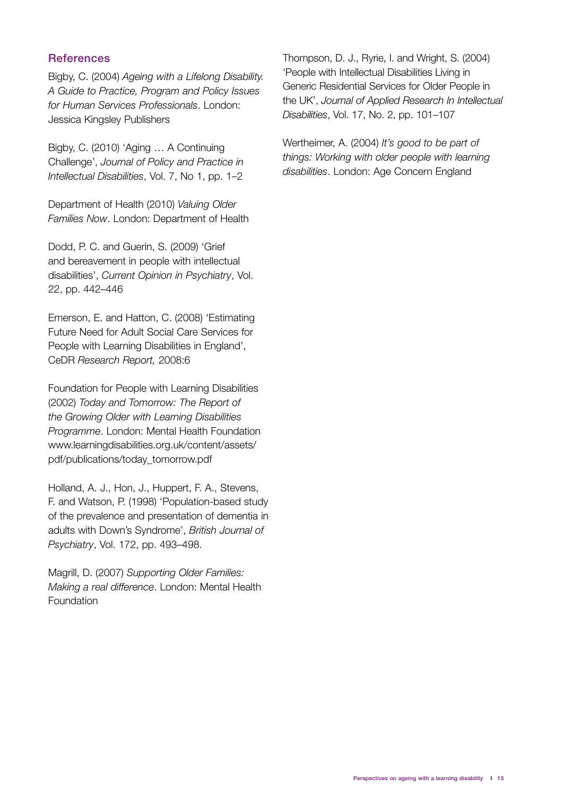#### **References**

Bigby, C. (2004) *Ageing with a Lifelong Disability. A Guide to Practice, Program and Policy Issues for Human Services Professionals*. London: Jessica Kingsley Publishers

Bigby, C. (2010) 'Aging … A Continuing Challenge', *Journal of Policy and Practice in Intellectual Disabilities*, Vol. 7, No 1, pp. 1–2

Department of Health (2010) *Valuing Older Families Now*. London: Department of Health

Dodd, P. C. and Guerin, S. (2009) 'Grief and bereavement in people with intellectual disabilities', *Current Opinion in Psychiatry*, Vol. 22, pp. 442–446

Emerson, E. and Hatton, C. (2008) 'Estimating Future Need for Adult Social Care Services for People with Learning Disabilities in England', CeDR *Research Report,* 2008:6

Foundation for People with Learning Disabilities (2002) *Today and Tomorrow: The Report of the Growing Older with Learning Disabilities Programme*. London: Mental Health Foundation www.learningdisabilities.org.uk/content/assets/ pdf/publications/today\_tomorrow.pdf

Holland, A. J., Hon, J., Huppert, F. A., Stevens, F. and Watson, P. (1998) 'Population-based study of the prevalence and presentation of dementia in adults with Down's Syndrome', *British Journal of Psychiatry*, Vol. 172, pp. 493–498.

Magrill, D. (2007) *Supporting Older Families: Making a real difference*. London: Mental Health Foundation

Thompson, D. J., Ryrie, I. and Wright, S. (2004) 'People with Intellectual Disabilities Living in Generic Residential Services for Older People in the UK', *Journal of Applied Research In Intellectual Disabilities*, Vol. 17, No. 2, pp. 101–107

Wertheimer, A. (2004) *It's good to be part of things: Working with older people with learning disabilities*. London: Age Concern England